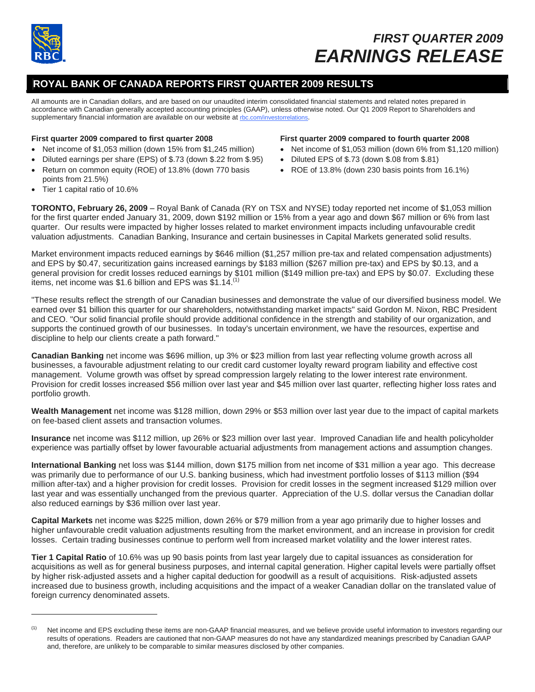

 $\overline{a}$ 

# *FIRST QUARTER 2009 EARNINGS RELEASE*

## **ROYAL BANK OF CANADA REPORTS FIRST QUARTER 2009 RESULTS**

All amounts are in Canadian dollars, and are based on our unaudited interim consolidated financial statements and related notes prepared in accordance with Canadian generally accepted accounting principles (GAAP), unless otherwise noted. Our Q1 2009 Report to Shareholders and supplementary financial information are available on our website at rbc.com/investorrelations.

#### **First quarter 2009 compared to first quarter 2008**

- Net income of \$1,053 million (down 15% from \$1,245 million)
- Diluted earnings per share (EPS) of \$.73 (down \$.22 from \$.95)
- Return on common equity (ROE) of 13.8% (down 770 basis points from 21.5%)

#### **First quarter 2009 compared to fourth quarter 2008**

- Net income of \$1,053 million (down 6% from \$1,120 million)
- Diluted EPS of \$.73 (down \$.08 from \$.81)
- ROE of 13.8% (down 230 basis points from 16.1%)

• Tier 1 capital ratio of 10.6%

**TORONTO, February 26, 2009** – Royal Bank of Canada (RY on TSX and NYSE) today reported net income of \$1,053 million for the first quarter ended January 31, 2009, down \$192 million or 15% from a year ago and down \$67 million or 6% from last quarter. Our results were impacted by higher losses related to market environment impacts including unfavourable credit valuation adjustments. Canadian Banking, Insurance and certain businesses in Capital Markets generated solid results.

Market environment impacts reduced earnings by \$646 million (\$1,257 million pre-tax and related compensation adjustments) and EPS by \$0.47, securitization gains increased earnings by \$183 million (\$267 million pre-tax) and EPS by \$0.13, and a general provision for credit losses reduced earnings by \$101 million (\$149 million pre-tax) and EPS by \$0.07. Excluding these items, net income was \$1.6 billion and EPS was  $$1.14$ .<sup>(1)</sup>

"These results reflect the strength of our Canadian businesses and demonstrate the value of our diversified business model. We earned over \$1 billion this quarter for our shareholders, notwithstanding market impacts" said Gordon M. Nixon, RBC President and CEO. "Our solid financial profile should provide additional confidence in the strength and stability of our organization, and supports the continued growth of our businesses. In today's uncertain environment, we have the resources, expertise and discipline to help our clients create a path forward."

**Canadian Banking** net income was \$696 million, up 3% or \$23 million from last year reflecting volume growth across all businesses, a favourable adjustment relating to our credit card customer loyalty reward program liability and effective cost management. Volume growth was offset by spread compression largely relating to the lower interest rate environment. Provision for credit losses increased \$56 million over last year and \$45 million over last quarter, reflecting higher loss rates and portfolio growth.

**Wealth Management** net income was \$128 million, down 29% or \$53 million over last year due to the impact of capital markets on fee-based client assets and transaction volumes.

**Insurance** net income was \$112 million, up 26% or \$23 million over last year. Improved Canadian life and health policyholder experience was partially offset by lower favourable actuarial adjustments from management actions and assumption changes.

**International Banking** net loss was \$144 million, down \$175 million from net income of \$31 million a year ago. This decrease was primarily due to performance of our U.S. banking business, which had investment portfolio losses of \$113 million (\$94 million after-tax) and a higher provision for credit losses. Provision for credit losses in the segment increased \$129 million over last year and was essentially unchanged from the previous quarter. Appreciation of the U.S. dollar versus the Canadian dollar also reduced earnings by \$36 million over last year.

**Capital Markets** net income was \$225 million, down 26% or \$79 million from a year ago primarily due to higher losses and higher unfavourable credit valuation adjustments resulting from the market environment, and an increase in provision for credit losses. Certain trading businesses continue to perform well from increased market volatility and the lower interest rates.

**Tier 1 Capital Ratio** of 10.6% was up 90 basis points from last year largely due to capital issuances as consideration for acquisitions as well as for general business purposes, and internal capital generation. Higher capital levels were partially offset by higher risk-adjusted assets and a higher capital deduction for goodwill as a result of acquisitions. Risk-adjusted assets increased due to business growth, including acquisitions and the impact of a weaker Canadian dollar on the translated value of foreign currency denominated assets.

<sup>(1)</sup> Net income and EPS excluding these items are non-GAAP financial measures, and we believe provide useful information to investors regarding our results of operations. Readers are cautioned that non-GAAP measures do not have any standardized meanings prescribed by Canadian GAAP and, therefore, are unlikely to be comparable to similar measures disclosed by other companies.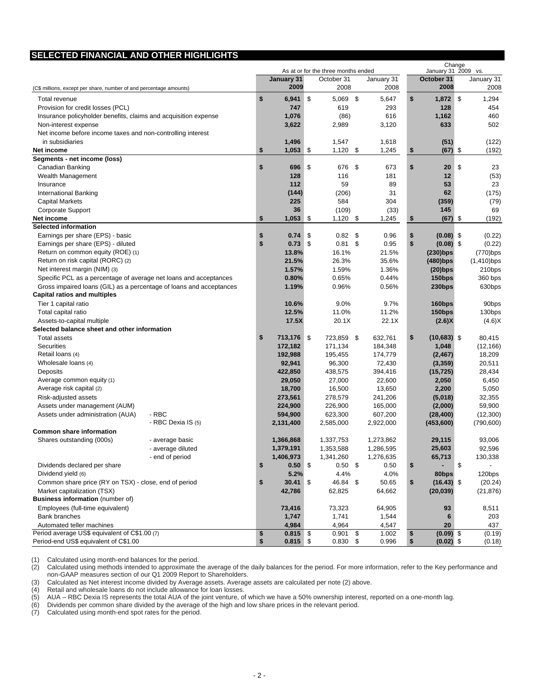## **SELECTED FINANCIAL AND OTHER HIGHLIGHTS**

|                                                                     |                    | As at or for the three months ended |            |     |            |      |            | Change<br>January 31 2009 vs. |               |    |               |
|---------------------------------------------------------------------|--------------------|-------------------------------------|------------|-----|------------|------|------------|-------------------------------|---------------|----|---------------|
|                                                                     |                    |                                     | January 31 |     | October 31 |      | January 31 |                               | October 31    |    | January 31    |
| (C\$ millions, except per share, number of and percentage amounts)  |                    |                                     | 2009       |     | 2008       |      | 2008       |                               | 2008          |    | 2008          |
| Total revenue                                                       |                    | \$                                  | 6,941      | \$  | 5,069 \$   |      | 5,647      | \$                            | 1,872         | \$ | 1,294         |
| Provision for credit losses (PCL)                                   |                    |                                     | 747        |     | 619        |      | 293        |                               | 128           |    | 454           |
| Insurance policyholder benefits, claims and acquisition expense     |                    |                                     | 1,076      |     | (86)       |      | 616        |                               | 1,162         |    | 460           |
| Non-interest expense                                                |                    |                                     | 3,622      |     | 2,989      |      | 3,120      |                               | 633           |    | 502           |
| Net income before income taxes and non-controlling interest         |                    |                                     |            |     |            |      |            |                               |               |    |               |
| in subsidiaries                                                     |                    |                                     | 1,496      |     | 1,547      |      | 1,618      |                               | (51)          |    | (122)         |
| Net income                                                          |                    | \$                                  | $1,053$ \$ |     | $1,120$ \$ |      | 1,245      | \$                            | (67)          | \$ | (192)         |
| Segments - net income (loss)                                        |                    |                                     |            |     |            |      |            |                               |               |    |               |
| Canadian Banking                                                    |                    | \$                                  | 696        | \$  | 676        | \$   | 673        | \$                            | 20            | \$ | 23            |
| Wealth Management                                                   |                    |                                     | 128        |     | 116        |      | 181        |                               | 12            |    | (53)          |
| Insurance                                                           |                    |                                     | 112        |     | 59         |      | 89         |                               | 53            |    | 23            |
| <b>International Banking</b>                                        |                    |                                     | (144)      |     | (206)      |      | 31         |                               | 62            |    | (175)         |
| <b>Capital Markets</b>                                              |                    |                                     | 225        |     | 584        |      | 304        |                               | (359)         |    | (79)          |
| Corporate Support                                                   |                    |                                     | 36         |     | (109)      |      | (33)       |                               | 145           |    | 69            |
| Net income                                                          |                    | \$                                  | $1,053$ \$ |     | $1,120$ \$ |      | 1,245      | \$                            | (67)          | \$ | (192)         |
| <b>Selected information</b>                                         |                    |                                     |            |     |            |      |            |                               |               |    |               |
| Earnings per share (EPS) - basic                                    |                    | \$                                  | 0.74       | \$  | 0.82       | - \$ | 0.96       | \$                            | $(0.08)$ \$   |    | (0.22)        |
| Earnings per share (EPS) - diluted                                  |                    | \$                                  | 0.73       | -\$ | $0.81$ \$  |      | 0.95       | \$                            | $(0.08)$ \$   |    | (0.22)        |
| Return on common equity (ROE) (1)                                   |                    |                                     | 13.8%      |     | 16.1%      |      | 21.5%      |                               | $(230)$ bps   |    | $(770)$ bps   |
| Return on risk capital (RORC) (2)                                   |                    |                                     | 21.5%      |     | 26.3%      |      | 35.6%      |                               | $(480)$ bps   |    | $(1,410)$ bps |
| Net interest margin (NIM) (3)                                       |                    |                                     | 1.57%      |     | 1.59%      |      | 1.36%      |                               | $(20)$ bps    |    | 210bps        |
| Specific PCL as a percentage of average net loans and acceptances   |                    |                                     | 0.80%      |     | 0.65%      |      | 0.44%      |                               | 150bps        |    | 360 bps       |
| Gross impaired loans (GIL) as a percentage of loans and acceptances |                    |                                     | 1.19%      |     | 0.96%      |      | 0.56%      |                               | 230bps        |    | 630bps        |
| <b>Capital ratios and multiples</b>                                 |                    |                                     |            |     |            |      |            |                               |               |    |               |
| Tier 1 capital ratio                                                |                    |                                     | 10.6%      |     | 9.0%       |      | 9.7%       |                               | 160bps        |    | 90bps         |
| Total capital ratio                                                 |                    |                                     | 12.5%      |     | 11.0%      |      | 11.2%      |                               | 150bps        |    | 130bps        |
| Assets-to-capital multiple                                          |                    |                                     | 17.5X      |     | 20.1X      |      | 22.1X      |                               | (2.6)X        |    | (4.6)X        |
| Selected balance sheet and other information                        |                    |                                     |            |     |            |      |            |                               |               |    |               |
| <b>Total assets</b>                                                 |                    | \$                                  | 713,176 \$ |     | 723,859 \$ |      | 632,761    | \$                            | $(10,683)$ \$ |    | 80,415        |
| Securities                                                          |                    |                                     | 172,182    |     | 171,134    |      | 184,348    |                               | 1,048         |    | (12, 166)     |
| Retail loans (4)                                                    |                    |                                     | 192,988    |     | 195,455    |      | 174,779    |                               | (2, 467)      |    | 18,209        |
| Wholesale loans (4)                                                 |                    |                                     | 92,941     |     | 96,300     |      | 72,430     |                               | (3, 359)      |    | 20,511        |
| Deposits                                                            |                    |                                     | 422,850    |     | 438,575    |      | 394,416    |                               | (15, 725)     |    | 28,434        |
| Average common equity (1)                                           |                    |                                     | 29,050     |     | 27,000     |      | 22,600     |                               | 2,050         |    | 6,450         |
| Average risk capital (2)                                            |                    |                                     | 18,700     |     | 16,500     |      | 13,650     |                               | 2,200         |    | 5,050         |
| Risk-adjusted assets                                                |                    |                                     | 273,561    |     | 278,579    |      | 241,206    |                               | (5,018)       |    | 32,355        |
| Assets under management (AUM)                                       |                    |                                     | 224,900    |     | 226,900    |      | 165,000    |                               | (2,000)       |    | 59,900        |
| Assets under administration (AUA)                                   | - RBC              |                                     | 594,900    |     | 623,300    |      | 607,200    |                               | (28, 400)     |    | (12,300)      |
|                                                                     | - RBC Dexia IS (5) |                                     | 2,131,400  |     | 2,585,000  |      | 2,922,000  |                               | (453,600)     |    | (790, 600)    |
| <b>Common share information</b>                                     |                    |                                     |            |     |            |      |            |                               |               |    |               |
| Shares outstanding (000s)                                           | - average basic    |                                     | 1,366,868  |     | 1,337,753  |      | 1,273,862  |                               | 29,115        |    | 93.006        |
|                                                                     | - average diluted  |                                     | 1,379,191  |     | 1,353,588  |      | 1,286,595  |                               | 25,603        |    | 92,596        |
|                                                                     | - end of period    |                                     | 1,406,973  |     | 1,341,260  |      | 1,276,635  |                               | 65,713        |    | 130,338       |
| Dividends declared per share                                        |                    | \$                                  | 0.50       | -\$ | $0.50$ \$  |      | 0.50       | \$                            |               | \$ |               |
| Dividend yield (6)                                                  |                    |                                     | 5.2%       |     | 4.4%       |      | 4.0%       |                               | 80bps         |    | 120bps        |
| Common share price (RY on TSX) - close, end of period               |                    | \$                                  | 30.41      | \$  | 46.84 \$   |      | 50.65      | \$                            | $(16.43)$ \$  |    | (20.24)       |
| Market capitalization (TSX)                                         |                    |                                     | 42,786     |     | 62,825     |      | 64,662     |                               | (20, 039)     |    | (21, 876)     |
| <b>Business information</b> (number of)                             |                    |                                     |            |     |            |      |            |                               |               |    |               |
| Employees (full-time equivalent)                                    |                    |                                     | 73,416     |     | 73,323     |      | 64,905     |                               | 93            |    | 8,511         |
| <b>Bank branches</b>                                                |                    |                                     | 1,747      |     | 1,741      |      | 1,544      |                               | 6             |    | 203           |
| Automated teller machines                                           |                    |                                     | 4,984      |     | 4,964      |      | 4,547      |                               | 20            |    | 437           |
| Period average US\$ equivalent of C\$1.00 (7)                       |                    | \$                                  | $0.815$ \$ |     | $0.901$ \$ |      | 1.002      | \$                            | $(0.09)$ \$   |    | (0.19)        |
| Period-end US\$ equivalent of C\$1.00                               |                    | \$                                  | $0.815$ \$ |     | $0.830$ \$ |      | 0.996      | \$                            | $(0.02)$ \$   |    | (0.18)        |

(1) Calculated using month-end balances for the period.

(2) Calculated using methods intended to approximate the average of the daily balances for the period. For more information, refer to the Key performance and non-GAAP measures section of our Q1 2009 Report to Shareholders.

(3) Calculated as Net interest income divided by Average assets. Average assets are calculated per note (2) above.

(4) Retail and wholesale loans do not include allowance for loan losses.<br>(5)  $AUA - RBC$  Dexia IS represents the total  $AUA$  of the joint venture, of

(5)  $\Delta UA - RBC$  Dexia IS represents the total AUA of the joint venture, of which we have a 50% ownership interest, reported on a one-month lag.<br>(6) Dividends per common share divided by the average of the high and low share

(6) Dividends per common share divided by the average of the high and low share prices in the relevant period.

(7) Calculated using month-end spot rates for the period.